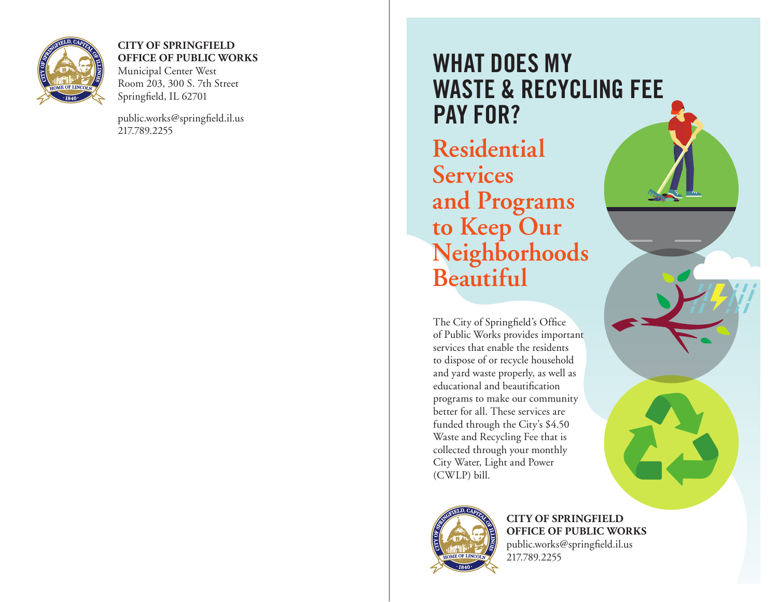

#### **CITY OF SPRINGFIELD OFFICE OF PUBLIC WORKS**

Municipal Center West Room 203, 300 S. 7th Street Springfield, IL 62701

public.works@springfield.il.us 217.789.2255

# **WHAT DOES MY WASTE & RECYCLING FEE PAY FOR?**

**Residential Services and Programs to Keep Our Neighborhoods Beautiful**

The City of Springfield's Office of Public Works provides important services that enable the residents to dispose of or recycle household and yard waste properly, as well as educational and beautification programs to make our community better for all. These services are funded through the City's \$4.50 Waste and Recycling Fee that is collected through your monthly City Water, Light and Power (CWLP) bill.



**CITY OF SPRINGFIELD OFFICE OF PUBLIC WORKS** public.works@springfield.il.us 217.789.2255